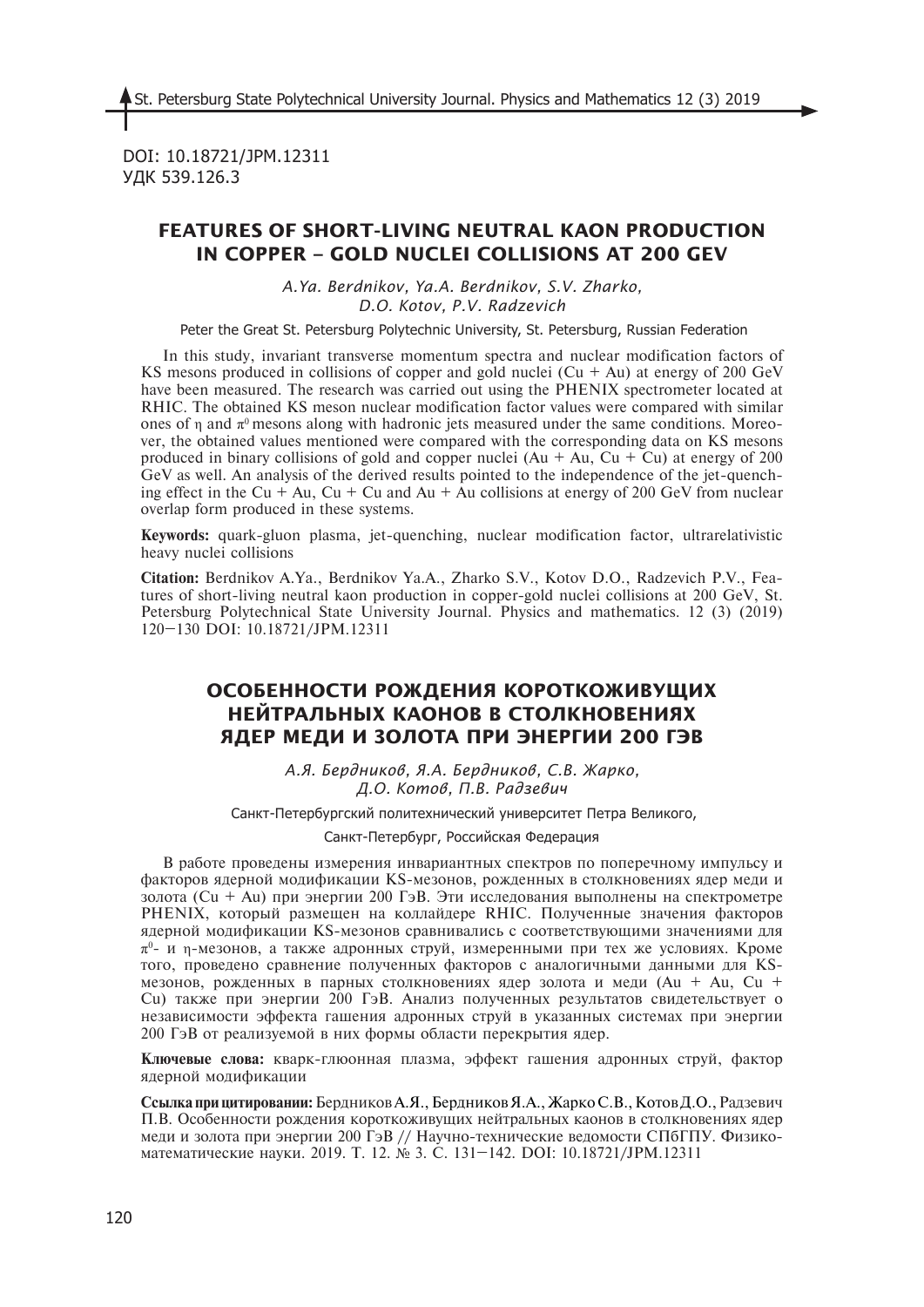DOI: 10.18721/JPM.12311 УДК 539.126.3

## **FEATURES OF SHORT-LIVING NEUTRAL KAON PRODUCTION IN COPPER – GOLD NUCLEI COLLISIONS AT 200 GEV**

*A.Ya. Berdnikov, Ya.A. Berdnikov, S.V. Zharko, D.O. Kotov, P.V. Radzevich*

Peter the Great St. Petersburg Polytechnic University, St. Petersburg, Russian Federation

In this study, invariant transverse momentum spectra and nuclear modification factors of KS mesons produced in collisions of copper and gold nuclei  $(Cu + Au)$  at energy of 200 GeV have been measured. The research was carried out using the PHENIX spectrometer located at RHIC. The obtained KS meson nuclear modification factor values were compared with similar ones of  $\eta$  and  $\pi^0$  mesons along with hadronic jets measured under the same conditions. Moreover, the obtained values mentioned were compared with the corresponding data on KS mesons produced in binary collisions of gold and copper nuclei  $(Au + Au, Cu + Cu)$  at energy of 200 GeV as well. An analysis of the derived results pointed to the independence of the jet-quenching effect in the Cu + Au, Cu + Cu and Au + Au collisions at energy of 200 GeV from nuclear overlap form produced in these systems.

**Keywords:** quark-gluon plasma, jet-quenching, nuclear modification factor, ultrarelativistic heavy nuclei collisions

**Citation:** Berdnikov A.Ya., Berdnikov Ya.A., Zharko S.V., Kotov D.O., Radzevich P.V., Features of short-living neutral kaon production in copper-gold nuclei collisions at 200 GeV, St. Petersburg Polytechnical State University Journal. Physics and mathematics. 12 (3) (2019) 120–130 DOI: 10.18721/JPM.12311

## **ОСОБЕННОСТИ РОЖДЕНИЯ КОРОТКОЖИВУЩИХ НЕЙТРАЛЬНЫХ КАОНОВ В СТОЛКНОВЕНИЯХ ЯДЕР МЕДИ И ЗОЛОТА ПРИ ЭНЕРГИИ 200 ГЭВ**

*А.Я. Бердников, Я.А. Бердников, С.В. Жарко, Д.О. Котов, П.В. Радзевич*

Санкт-Петербургский политехнический университет Петра Великого,

Санкт-Петербург, Российская Федерация

В работе проведены измерения инвариантных спектров по поперечному импульсу и факторов ядерной модификации KS-мезонов, рожденных в столкновениях ядер меди и золота (Cu + Au) при энергии 200 ГэВ. Эти исследования выполнены на спектрометре PHENIX, который размещен на коллайдере RHIC. Полученные значения факторов ядерной модификации KS-мезонов сравнивались с соответствующими значениями для  $\pi^0$ - и η-мезонов, а также адронных струй, измеренными при тех же условиях. Кроме того, проведено сравнение полученных факторов с аналогичными данными для KSмезонов, рожденных в парных столкновениях ядер золота и меди (Au + Au, Cu + Cu) также при энергии 200 ГэВ. Анализ полученных результатов свидетельствует о независимости эффекта гашения адронных струй в указанных системах при энергии 200 ГэВ от реализуемой в них формы области перекрытия ядер.

**Ключевые слова:** кварк-глюонная плазма, эффект гашения адронных струй, фактор ядерной модификации

**Ссылка при цитировании:** Бердников А.Я., Бердников Я.А., Жарко С.В., Котов Д.О., Радзевич П.В. Особенности рождения короткоживущих нейтральных каонов в столкновениях ядер меди и золота при энергии 200 ГэВ // Научно-технические ведомости СПбГПУ. Физикоматематические науки. 2019. Т. 12. № 3. С. 131–142. DOI: 10.18721/JPM.12311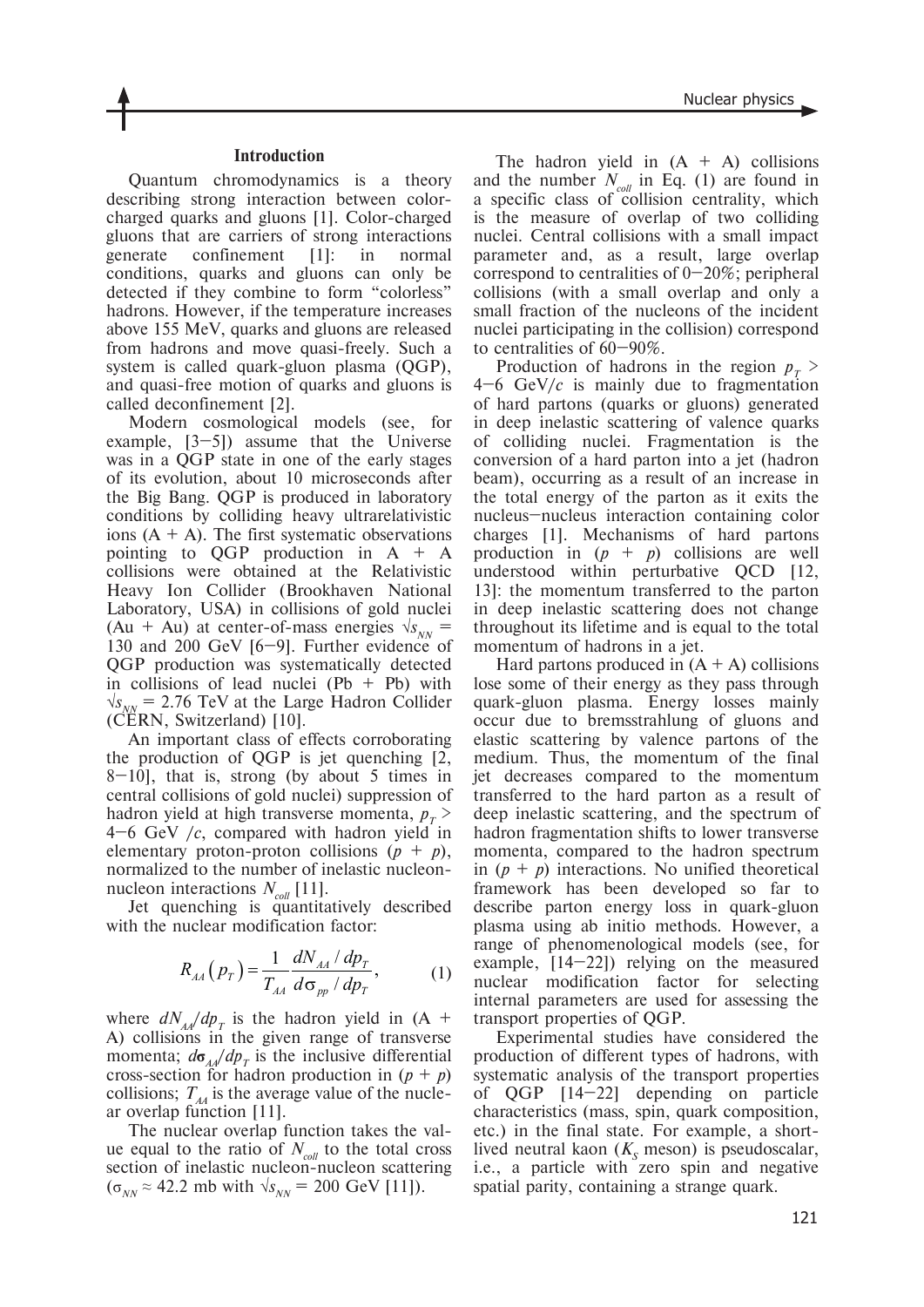### **Introduction**

Quantum chromodynamics is a theory describing strong interaction between colorcharged quarks and gluons [1]. Color-charged gluons that are carriers of strong interactions generate confinement [1]: in normal conditions, quarks and gluons can only be detected if they combine to form "colorless" hadrons. However, if the temperature increases above 155 MeV, quarks and gluons are released from hadrons and move quasi-freely. Such a system is called quark-gluon plasma (QGP), and quasi-free motion of quarks and gluons is called deconfinement [2].

Modern cosmological models (see, for example,  $[3-5]$  assume that the Universe was in a QGP state in one of the early stages of its evolution, about 10 microseconds after the Big Bang. QGP is produced in laboratory conditions by colliding heavy ultrarelativistic ions  $(A + A)$ . The first systematic observations pointing to OGP production in  $A + A$ collisions were obtained at the Relativistic Heavy Ion Collider (Brookhaven National Laboratory, USA) in collisions of gold nuclei (Au + Au) at center-of-mass energies  $\sqrt{s_{NN}}$  = 130 and 200 GeV [6-9]. Further evidence of QGP production was systematically detected in collisions of lead nuclei ( $Pb + Pb$ ) with  $\sqrt{s_{NN}}$  = 2.76 TeV at the Large Hadron Collider (CERN, Switzerland) [10].

An important class of effects corroborating the production of OGP is jet quenching [2,  $8-10$ ], that is, strong (by about 5 times in central collisions of gold nuclei) suppression of hadron yield at high transverse momenta,  $p_T$  > 4–6 GeV /*c*, compared with hadron yield in elementary proton-proton collisions  $(p + p)$ , normalized to the number of inelastic nucleonnucleon interactions  $N_{coll}$  [11].

Jet quenching is quantitatively described with the nuclear modification factor:

$$
R_{AA}(p_T) = \frac{1}{T_{AA}} \frac{dN_{AA}/dp_T}{d\sigma_{pp}/dp_T},
$$
 (1)

where  $dN_{AA}/dp_{T}$  is the hadron yield in (A + A) collisions in the given range of transverse momenta;  $d\sigma_{AA}/dp_{T}$  is the inclusive differential cross-section for hadron production in  $(p + p)$ collisions;  $T_{AA}$  is the average value of the nuclear overlap function [11].

The nuclear overlap function takes the value equal to the ratio of  $N_{coll}$  to the total cross section of inelastic nucleon-nucleon scattering  $(\sigma_{NN} \approx 42.2 \text{ mb with } \sqrt{s_{NN}} = 200 \text{ GeV [11]}).$ 

The hadron yield in  $(A + A)$  collisions and the number  $N_{coll}$  in Eq. (1) are found in a specific class of collision centrality, which is the measure of overlap of two colliding nuclei. Central collisions with a small impact parameter and, as a result, large overlap correspond to centralities of  $0-20\%$ ; peripheral collisions (with a small overlap and only a small fraction of the nucleons of the incident nuclei participating in the collision) correspond to centralities of 60–90%.

Production of hadrons in the region  $p_T$  >  $4-6$  GeV/ $c$  is mainly due to fragmentation of hard partons (quarks or gluons) generated in deep inelastic scattering of valence quarks of colliding nuclei. Fragmentation is the conversion of a hard parton into a jet (hadron beam), occurring as a result of an increase in the total energy of the parton as it exits the nucleus–nucleus interaction containing color charges [1]. Mechanisms of hard partons production in  $(p + p)$  collisions are well understood within perturbative QCD [12, 13]: the momentum transferred to the parton in deep inelastic scattering does not change throughout its lifetime and is equal to the total momentum of hadrons in a jet.

Hard partons produced in  $(A + A)$  collisions lose some of their energy as they pass through quark-gluon plasma. Energy losses mainly occur due to bremsstrahlung of gluons and elastic scattering by valence partons of the medium. Thus, the momentum of the final jet decreases compared to the momentum transferred to the hard parton as a result of deep inelastic scattering, and the spectrum of hadron fragmentation shifts to lower transverse momenta, compared to the hadron spectrum in  $(p + p)$  interactions. No unified theoretical framework has been developed so far to describe parton energy loss in quark-gluon plasma using ab initio methods. However, a range of phenomenological models (see, for example, [14–22]) relying on the measured nuclear modification factor for selecting internal parameters are used for assessing the transport properties of QGP.

Experimental studies have considered the production of different types of hadrons, with systematic analysis of the transport properties of QGP [14–22] depending on particle characteristics (mass, spin, quark composition, etc.) in the final state. For example, a shortlived neutral kaon  $(K<sub>s</sub>$  meson) is pseudoscalar, i.e., a particle with zero spin and negative spatial parity, containing a strange quark.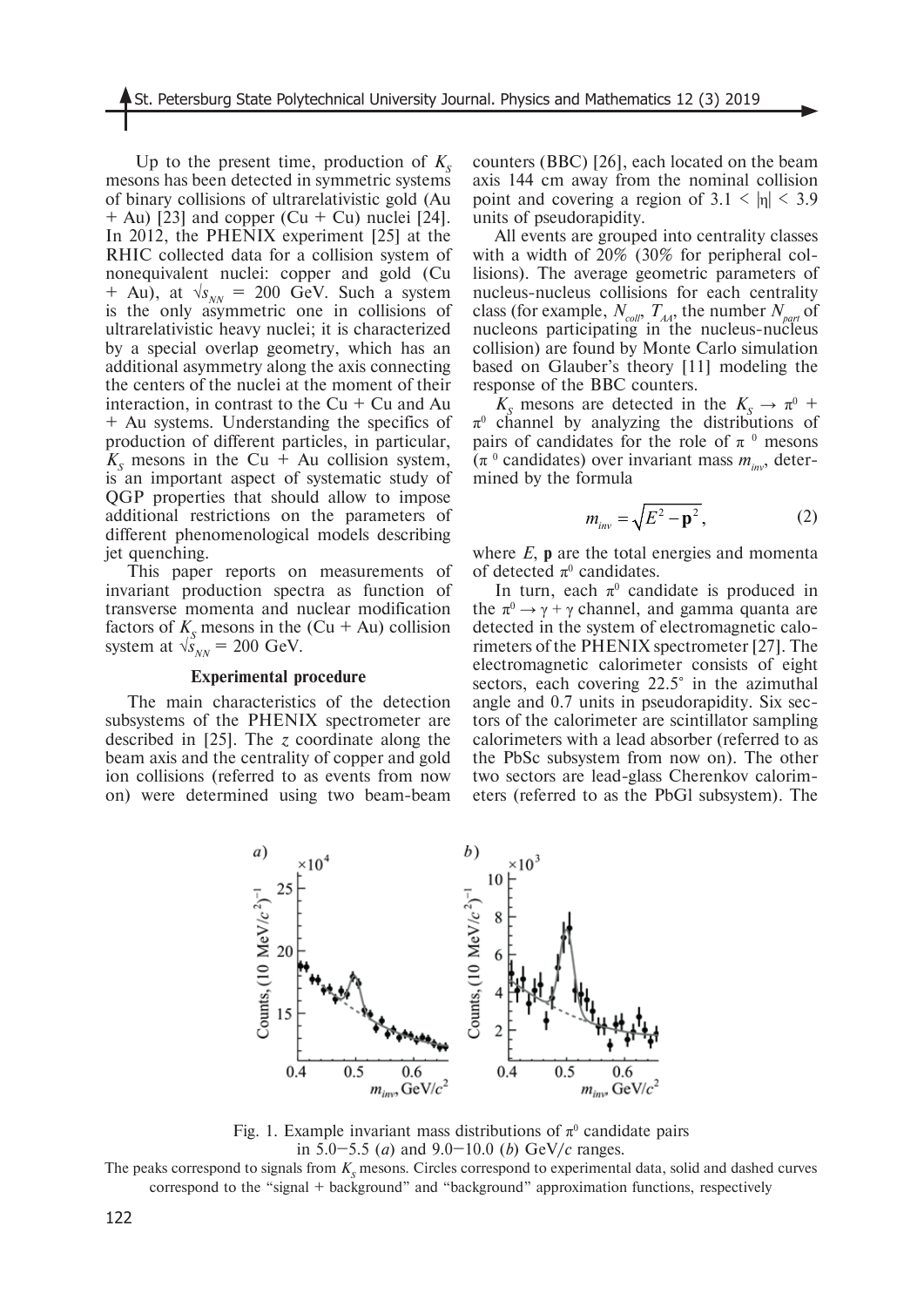Up to the present time, production of  $K<sub>s</sub>$ mesons has been detected in symmetric systems of binary collisions of ultrarelativistic gold (Au  $+$  Au) [23] and copper (Cu  $+$  Cu) nuclei [24]. In 2012, the PHENIX experiment [25] at the RHIC collected data for a collision system of nonequivalent nuclei: copper and gold (Cu + Au), at  $\sqrt{s_{NN}}$  = 200 GeV. Such a system is the only asymmetric one in collisions of ultrarelativistic heavy nuclei; it is characterized by a special overlap geometry, which has an additional asymmetry along the axis connecting the centers of the nuclei at the moment of their interaction, in contrast to the  $Cu + Cu$  and Au + Au systems. Understanding the specifics of production of different particles, in particular,  $K<sub>s</sub>$  mesons in the Cu + Au collision system, is an important aspect of systematic study of QGP properties that should allow to impose additional restrictions on the parameters of different phenomenological models describing jet quenching.

This paper reports on measurements of invariant production spectra as function of transverse momenta and nuclear modification factors of  $K<sub>S</sub>$  mesons in the (Cu + Au) collision system at  $\sqrt{s}_{_{NN}}$  = 200 GeV.

## **Experimental procedure**

The main characteristics of the detection subsystems of the PHENIX spectrometer are described in [25]. The *z* coordinate along the beam axis and the centrality of copper and gold ion collisions (referred to as events from now on) were determined using two beam-beam counters (BBC) [26], each located on the beam axis 144 cm away from the nominal collision point and covering a region of  $3.1 \leq |\eta| \leq 3.9$ units of pseudorapidity.

All events are grouped into centrality classes with a width of 20% (30% for peripheral collisions). The average geometric parameters of nucleus-nucleus collisions for each centrality class (for example,  $N_{coll}$ ,  $T_{AA}$ , the number  $N_{part}$  of nucleons participating in the nucleus-nucleus collision) are found by Monte Carlo simulation based on Glauber's theory [11] modeling the response of the BBC counters.

 $K_s$  mesons are detected in the  $K_s \to \pi^0 +$  $\pi^0$  channel by analyzing the distributions of pairs of candidates for the role of  $\pi$ <sup>0</sup> mesons  $(\pi^0$  candidates) over invariant mass  $m_{inv}$ , determined by the formula

$$
m_{\text{inv}} = \sqrt{E^2 - \mathbf{p}^2},\tag{2}
$$

where *E*, **p** are the total energies and momenta of detected  $\pi^0$  candidates.

In turn, each  $\pi^0$  candidate is produced in the  $\pi^0 \rightarrow \gamma + \gamma$  channel, and gamma quanta are detected in the system of electromagnetic calorimeters of the PHENIX spectrometer [27]. The electromagnetic calorimeter consists of eight sectors, each covering 22.5° in the azimuthal angle and 0.7 units in pseudorapidity. Six sectors of the calorimeter are scintillator sampling calorimeters with a lead absorber (referred to as the PbSc subsystem from now on). The other two sectors are lead-glass Cherenkov calorimeters (referred to as the PbGl subsystem). The



Fig. 1. Example invariant mass distributions of  $\pi^0$  candidate pairs in 5.0–5.5 (*a*) and 9.0–10.0 (*b*) GeV/*c* ranges.

The peaks correspond to signals from  $K<sub>c</sub>$  mesons. Circles correspond to experimental data, solid and dashed curves correspond to the "signal + background" and "background" approximation functions, respectively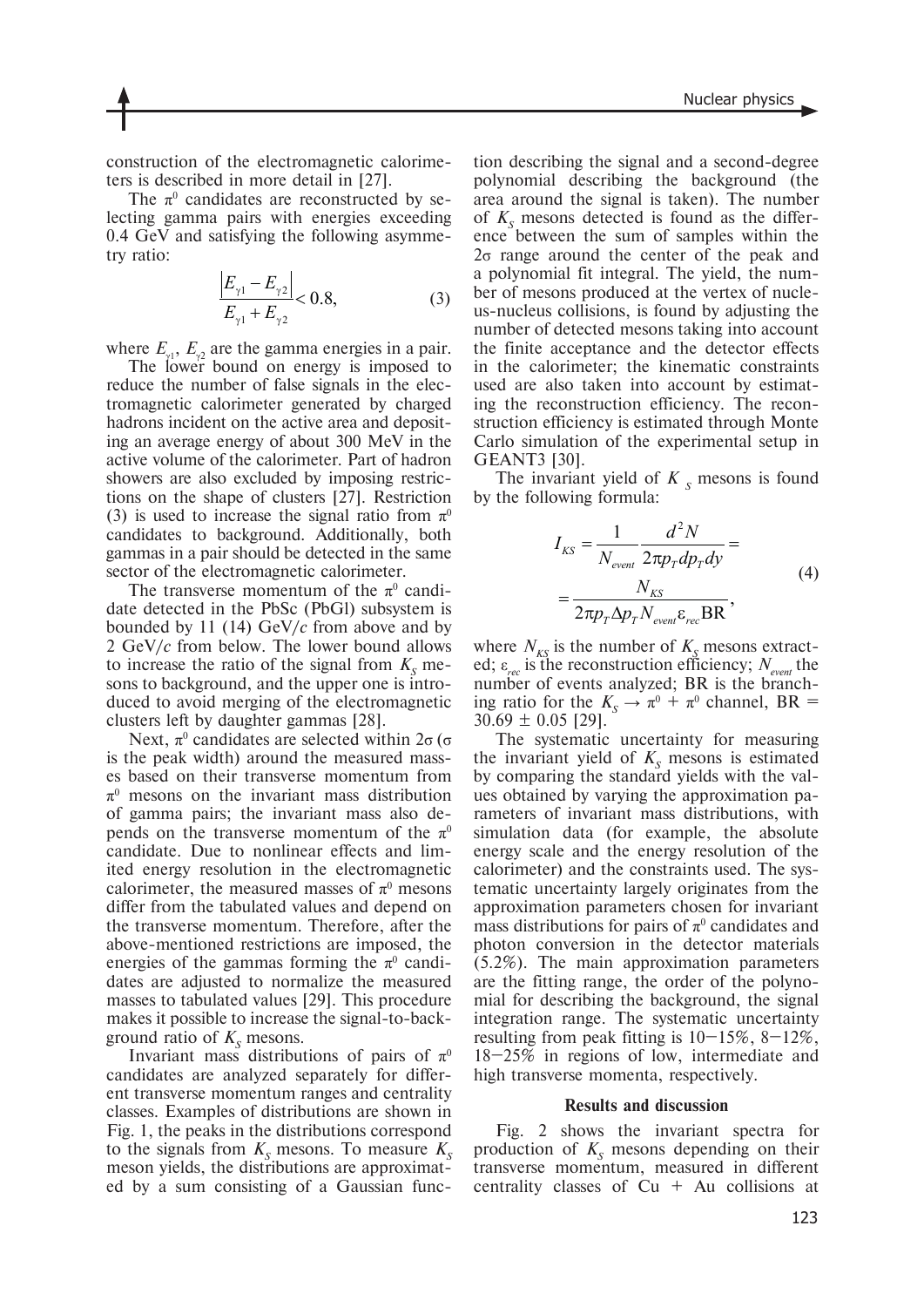construction of the electromagnetic calorimeters is described in more detail in [27].

The  $\pi^0$  candidates are reconstructed by selecting gamma pairs with energies exceeding 0.4 GeV and satisfying the following asymmetry ratio:

$$
\left|\frac{E_{\gamma 1} - E_{\gamma 2}}{E_{\gamma 1} + E_{\gamma 2}}\right| < 0.8,\tag{3}
$$

where  $E_{\gamma 1}$ ,  $E_{\gamma 2}$  are the gamma energies in a pair.

The lower bound on energy is imposed to reduce the number of false signals in the electromagnetic calorimeter generated by charged hadrons incident on the active area and depositing an average energy of about 300 MeV in the active volume of the calorimeter. Part of hadron showers are also excluded by imposing restrictions on the shape of clusters [27]. Restriction (3) is used to increase the signal ratio from  $\pi^0$ candidates to background. Additionally, both gammas in a pair should be detected in the same sector of the electromagnetic calorimeter.

The transverse momentum of the  $\pi^0$  candidate detected in the PbSc (PbGl) subsystem is bounded by 11 (14) GeV/*c* from above and by 2 GeV/*c* from below. The lower bound allows to increase the ratio of the signal from  $K<sub>s</sub>$  mesons to background, and the upper one is introduced to avoid merging of the electromagnetic clusters left by daughter gammas [28].

Next,  $\pi^0$  candidates are selected within 2σ (σ is the peak width) around the measured masses based on their transverse momentum from  $\pi^0$  mesons on the invariant mass distribution of gamma pairs; the invariant mass also depends on the transverse momentum of the  $\pi^0$ candidate. Due to nonlinear effects and limited energy resolution in the electromagnetic calorimeter, the measured masses of  $\pi^0$  mesons differ from the tabulated values and depend on the transverse momentum. Therefore, after the above-mentioned restrictions are imposed, the energies of the gammas forming the  $\pi^0$  candidates are adjusted to normalize the measured masses to tabulated values [29]. This procedure makes it possible to increase the signal-to-background ratio of  $K<sub>S</sub>$  mesons.

Invariant mass distributions of pairs of  $\pi^0$ candidates are analyzed separately for different transverse momentum ranges and centrality classes. Examples of distributions are shown in Fig. 1, the peaks in the distributions correspond to the signals from  $K<sub>s</sub>$  mesons. To measure  $K<sub>s</sub>$ meson yields, the distributions are approximated by a sum consisting of a Gaussian function describing the signal and a second-degree polynomial describing the background (the area around the signal is taken). The number of  $K<sub>s</sub>$  mesons detected is found as the difference between the sum of samples within the 2σ range around the center of the peak and a polynomial fit integral. The yield, the number of mesons produced at the vertex of nucleus-nucleus collisions, is found by adjusting the number of detected mesons taking into account the finite acceptance and the detector effects in the calorimeter; the kinematic constraints used are also taken into account by estimating the reconstruction efficiency. The reconstruction efficiency is estimated through Monte Carlo simulation of the experimental setup in GEANT3 [30].

The invariant yield of  $K<sub>s</sub>$  mesons is found by the following formula:

$$
I_{KS} = \frac{1}{N_{event}} \frac{d^2 N}{2\pi p_T dp_T dy} =
$$
  
= 
$$
\frac{N_{KS}}{2\pi p_T \Delta p_T N_{event} \varepsilon_{rec} BR},
$$
 (4)

where  $N_{\text{KS}}$  is the number of  $K_{\text{S}}$  mesons extracted;  $\epsilon_{rec}$  is the reconstruction efficiency;  $N_{event}$  the number of events analyzed; BR is the branching ratio for the  $K_s \to \pi^0 + \pi^0$  channel, BR =  $30.69 \pm 0.05$  [29].

The systematic uncertainty for measuring the invariant yield of  $K<sub>s</sub>$  mesons is estimated by comparing the standard yields with the values obtained by varying the approximation parameters of invariant mass distributions, with simulation data (for example, the absolute energy scale and the energy resolution of the calorimeter) and the constraints used. The systematic uncertainty largely originates from the approximation parameters chosen for invariant mass distributions for pairs of  $\pi^0$  candidates and photon conversion in the detector materials (5.2%). The main approximation parameters are the fitting range, the order of the polynomial for describing the background, the signal integration range. The systematic uncertainty resulting from peak fitting is  $10-15\%$ ,  $8-12\%$ , 18–25% in regions of low, intermediate and high transverse momenta, respectively.

#### **Results and discussion**

Fig. 2 shows the invariant spectra for production of  $K<sub>s</sub>$  mesons depending on their transverse momentum, measured in different centrality classes of  $Cu + Au$  collisions at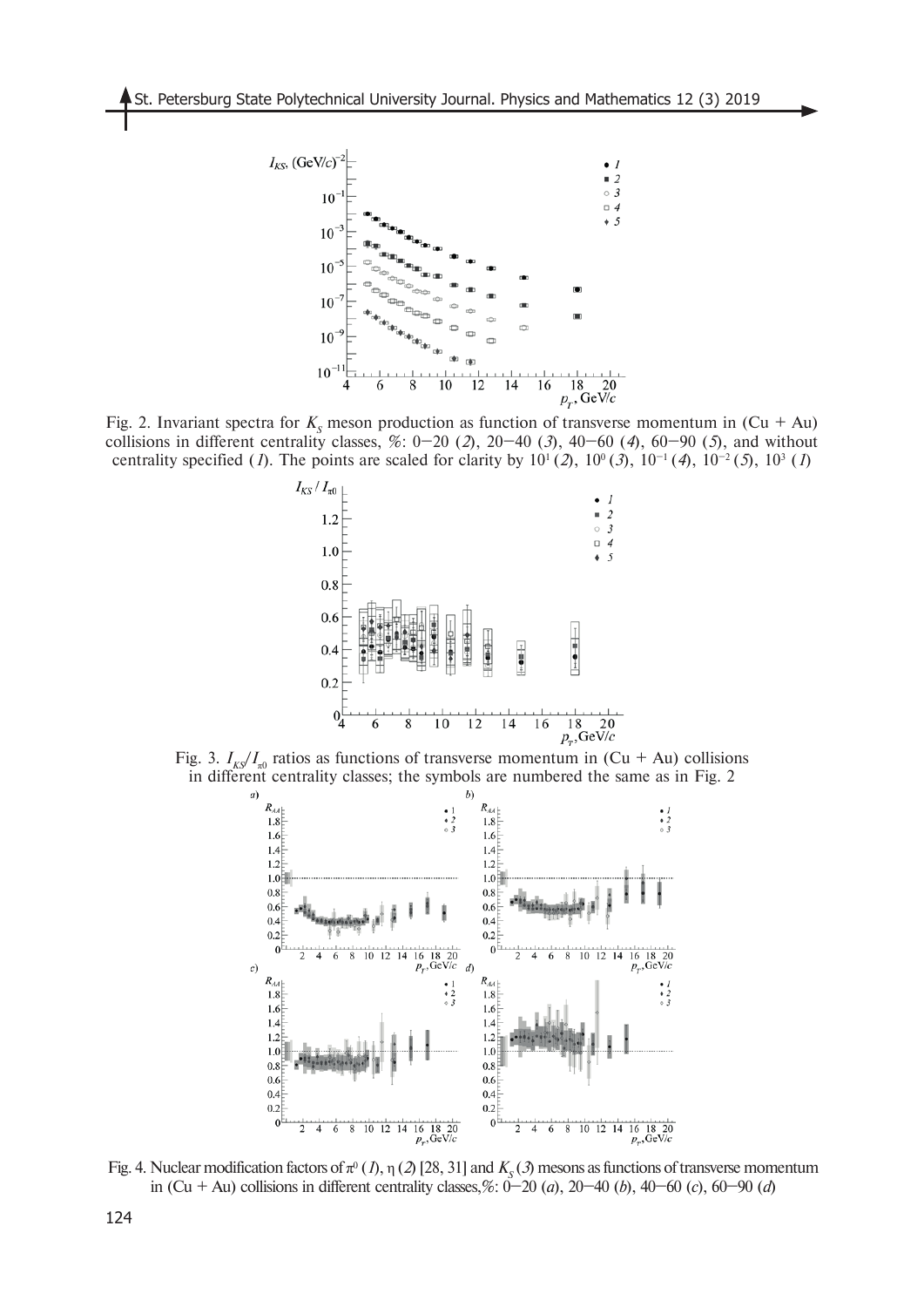

Fig. 2. Invariant spectra for  $K<sub>S</sub>$  meson production as function of transverse momentum in (Cu + Au) collisions in different centrality classes,  $\%$ : 0–20 (2), 20–40 (3), 40–60 (4), 60–90 (5), and without centrality specified (*I*). The points are scaled for clarity by  $10^{1}(2)$ ,  $10^{0}(3)$ ,  $10^{-1}(4)$ ,  $10^{-2}(5)$ ,  $10^{3}(1)$ 



Fig. 3.  $I_{K\mathcal{S}}/I_{\pi^0}$  ratios as functions of transverse momentum in (Cu + Au) collisions in different centrality classes; the symbols are numbered the same as in Fig. 2



Fig. 4. Nuclear modification factors of  $\pi^0$  (*1*),  $\eta$  (*2*) [28, 31] and  $K_s$  (*3*) mesons as functions of transverse momentum in (Cu + Au) collisions in different centrality classes,%: 0–20 (*a*), 20–40 (*b*), 40–60 (*c*), 60–90 (*d*)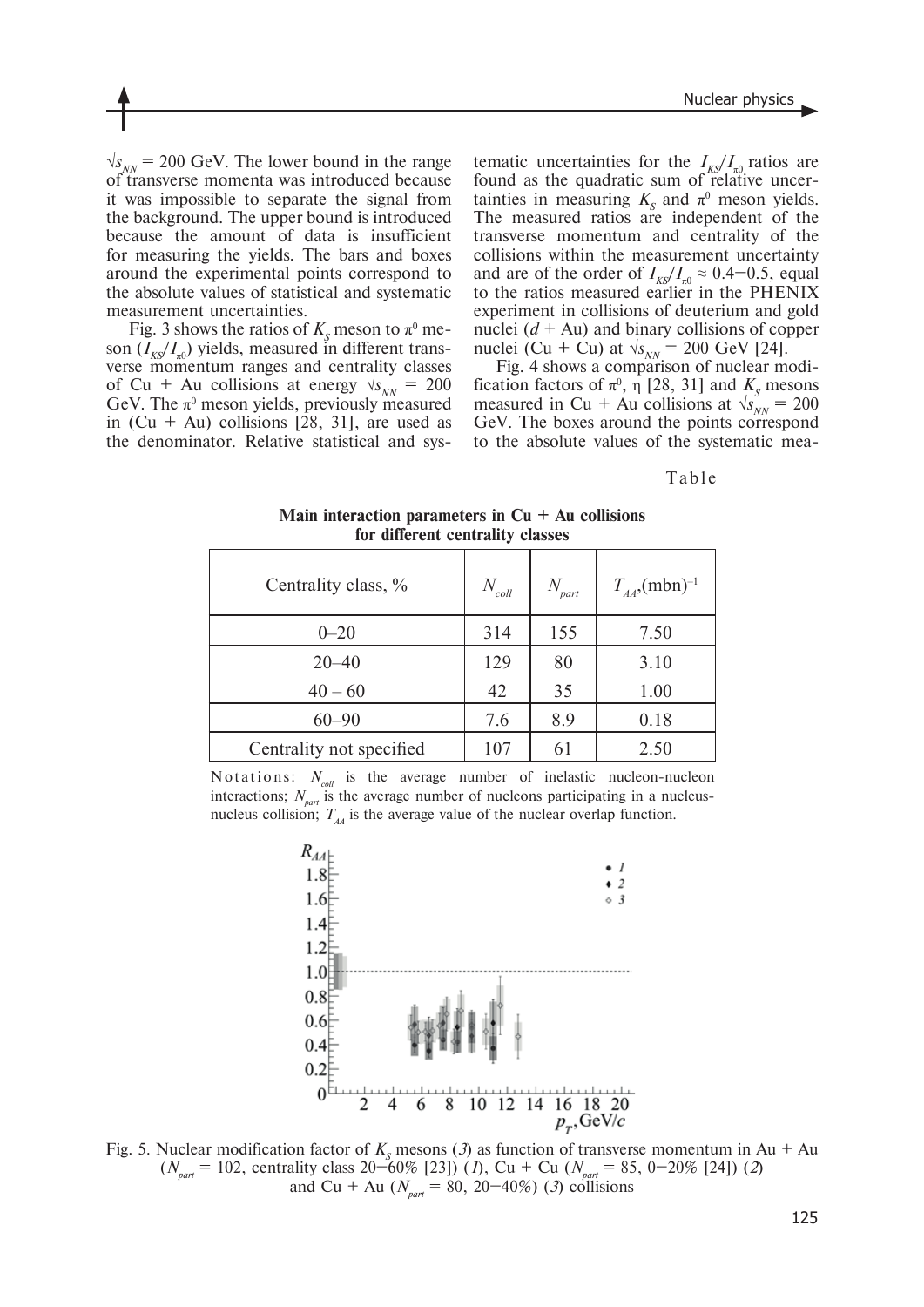$\sqrt{s_{NN}}$  = 200 GeV. The lower bound in the range of transverse momenta was introduced because it was impossible to separate the signal from the background. The upper bound is introduced because the amount of data is insufficient for measuring the yields. The bars and boxes around the experimental points correspond to the absolute values of statistical and systematic measurement uncertainties.

Fig. 3 shows the ratios of  $K<sub>S</sub>$  meson to  $\pi<sup>0</sup>$  meson  $(I_{\text{KS}}/I_{\text{m}})$  yields, measured in different transverse momentum ranges and centrality classes of Cu + Au collisions at energy  $\sqrt{s_{NN}} = 200$ GeV. The  $\pi^0$  meson yields, previously measured in  $(Cu + Au)$  collisions [28, 31], are used as the denominator. Relative statistical and sys-

tematic uncertainties for the  $I_{K\sqrt{I_{\pi 0}}}$  ratios are found as the quadratic sum of relative uncertainties in measuring  $K_s$  and  $\pi^0$  meson yields. The measured ratios are independent of the transverse momentum and centrality of the collisions within the measurement uncertainty and are of the order of  $I_{K\sqrt{I_{\pi 0}}} \approx 0.4-0.5$ , equal to the ratios measured earlier in the PHENIX experiment in collisions of deuterium and gold nuclei  $(d + Au)$  and binary collisions of copper nuclei (Cu + Cu) at  $\sqrt{s_{_{NN}}}$  = 200 GeV [24].

Fig. 4 shows a comparison of nuclear modification factors of  $\pi^0$ ,  $\eta$  [28, 31] and  $K_s$  mesons measured in Cu + Au collisions at  $\sqrt{s_{NN}}$  = 200 GeV. The boxes around the points correspond to the absolute values of the systematic mea-

Table

| Centrality class, %      | $N_{\textit{coll}}$ | $N_{\rm part}$ | $T_{AA}$ , (mbn) <sup>-1</sup> |
|--------------------------|---------------------|----------------|--------------------------------|
| $0 - 20$                 | 314                 | 155            | 7.50                           |
| $20 - 40$                | 129                 | 80             | 3.10                           |
| $40 - 60$                | 42                  | 35             | 1.00                           |
| $60 - 90$                | 7.6                 | 8.9            | 0.18                           |
| Centrality not specified | 107                 | 61             | 2.50                           |

**Main interaction parameters in Cu + Au collisions for different centrality classes**

Notations:  $N_{\text{coll}}$  is the average number of inelastic nucleon-nucleon interactions;  $N_{\text{part}}$  is the average number of nucleons participating in a nucleusnucleus collision;  $T_{A_4}$  is the average value of the nuclear overlap function.



Fig. 5. Nuclear modification factor of  $K<sub>S</sub>$  mesons (3) as function of transverse momentum in Au + Au  $(N_{part} = 102$ , centrality class 20–60% [23]) (*1*), Cu + Cu ( $N_{part} = 85$ , 0–20% [24]) (*2*) and Cu + Au ( $N_{part}$  = 80, 20–40%) (3) collisions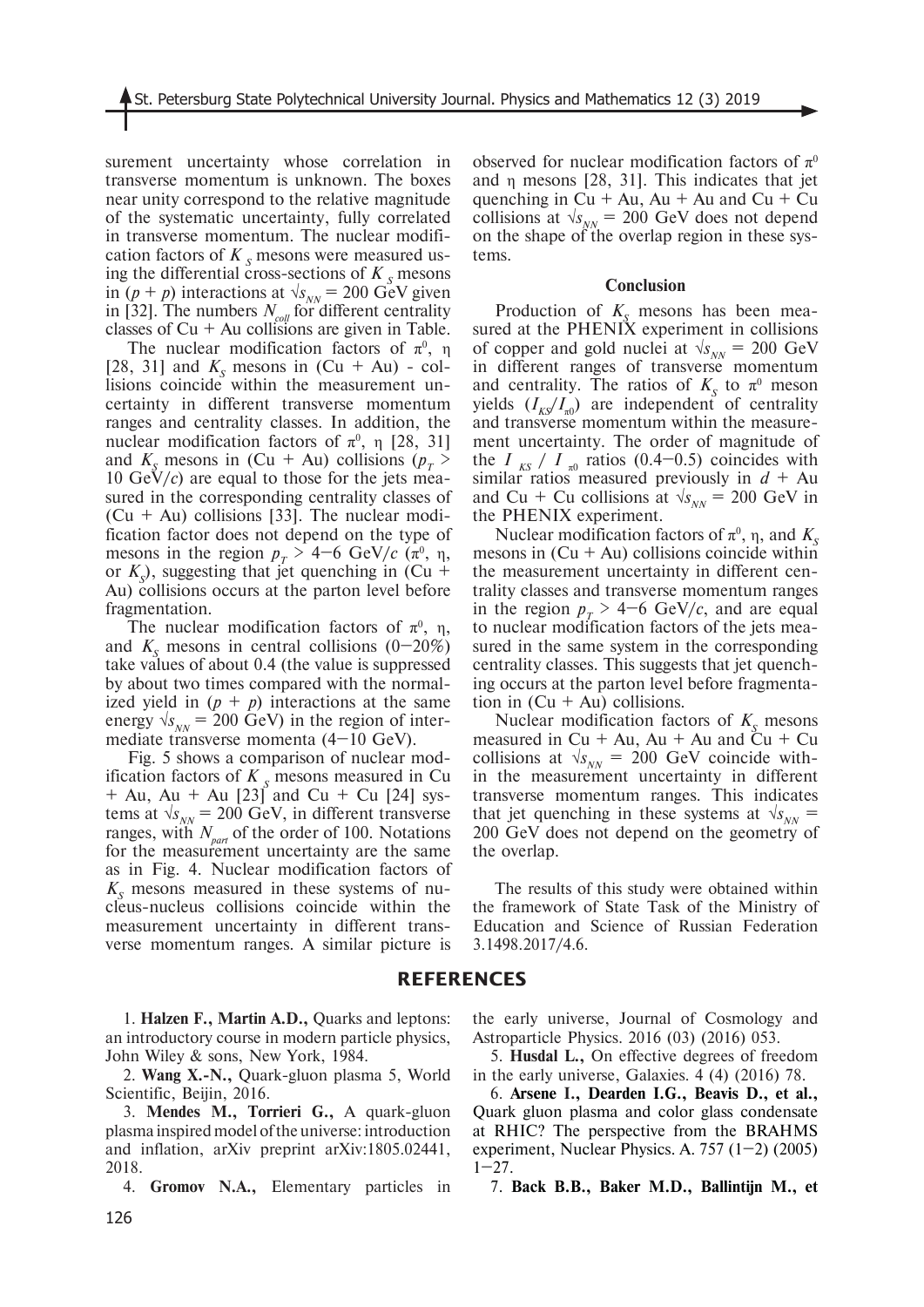surement uncertainty whose correlation in transverse momentum is unknown. The boxes near unity correspond to the relative magnitude of the systematic uncertainty, fully correlated in transverse momentum. The nuclear modification factors of  $K_s$  mesons were measured using the differential cross-sections of  $K<sub>s</sub>$  mesons in  $(p + p)$  interactions at  $\sqrt{s_{NN}} = 200$  GeV given in [32]. The numbers  $N_{coll}$  for different centrality classes of  $Cu + Au$  collisions are given in Table.

The nuclear modification factors of  $\pi^0$ ,  $\eta$ [28, 31] and  $K<sub>s</sub>$  mesons in  $(Cu + Au)$  - collisions coincide within the measurement uncertainty in different transverse momentum ranges and centrality classes. In addition, the nuclear modification factors of  $\pi^0$ , η [28, 31] and  $K<sub>S</sub>$  mesons in (Cu + Au) collisions ( $p<sub>T</sub>$ ) 10 GeV/*c*) are equal to those for the jets measured in the corresponding centrality classes of  $(Cu + Au)$  collisions [33]. The nuclear modification factor does not depend on the type of mesons in the region  $p_T > 4-6$  GeV/*c* ( $\pi^0$ ,  $\eta$ , or  $K<sub>s</sub>$ ), suggesting that jet quenching in (Cu + Au) collisions occurs at the parton level before fragmentation.

The nuclear modification factors of  $\pi^0$ ,  $\eta$ , and  $K<sub>s</sub>$  mesons in central collisions  $(0-20\%)$ take values of about 0.4 (the value is suppressed by about two times compared with the normalized yield in  $(p + p)$  interactions at the same energy  $\sqrt{s_{NN}}$  = 200 GeV) in the region of intermediate transverse momenta (4–10 GeV).

Fig. 5 shows a comparison of nuclear modification factors of  $K<sub>s</sub>$  mesons measured in Cu  $+$  Au, Au  $+$  Au [23] and Cu  $+$  Cu [24] systems at  $\sqrt{s_{NN}}$  = 200 GeV, in different transverse ranges, with  $N_{part}$  of the order of 100. Notations for the measurement uncertainty are the same as in Fig. 4. Nuclear modification factors of  $K<sub>s</sub>$  mesons measured in these systems of nucleus-nucleus collisions coincide within the measurement uncertainty in different transverse momentum ranges. A similar picture is

1. **Halzen F., Martin A.D.,** Quarks and leptons: an introductory course in modern particle physics, John Wiley & sons, New York, 1984.

2. **Wang X.-N.,** Quark-gluon plasma 5, World Scientific, Beijin, 2016.

3. **Mendes M., Torrieri G.,** A quark-gluon plasma inspired model of the universe: introduction and inflation, arXiv preprint arXiv:1805.02441, 2018.

4. **Gromov N.A.,** Elementary particles in

observed for nuclear modification factors of  $\pi^0$ and η mesons [28, 31]. This indicates that jet quenching in  $Cu + Au$ ,  $Au + Au$  and  $Cu + Cu$ collisions at  $\sqrt{s_{NN}}$  = 200 GeV does not depend on the shape of the overlap region in these systems.

#### **Conclusion**

Production of  $K<sub>s</sub>$  mesons has been measured at the PHENIX experiment in collisions of copper and gold nuclei at  $\sqrt{s_{NN}}$  = 200 GeV in different ranges of transverse momentum and centrality. The ratios of  $K<sub>S</sub>$  to  $\pi<sup>0</sup>$  meson yields  $(I_{K\mathcal{S}}/I_{\pi0})$  are independent of centrality and transverse momentum within the measurement uncertainty. The order of magnitude of the  $I_{KS}$  /  $I_{\pi 0}$  ratios (0.4–0.5) coincides with similar ratios measured previously in  $d + Au$ and Cu + Cu collisions at  $\sqrt{s_{NN}}$  = 200 GeV in the PHENIX experiment.

Nuclear modification factors of  $\pi^0$ ,  $\eta$ , and  $K_s$ mesons in  $(Cu + Au)$  collisions coincide within the measurement uncertainty in different centrality classes and transverse momentum ranges in the region  $p_T > 4-6$  GeV/*c*, and are equal to nuclear modification factors of the jets measured in the same system in the corresponding centrality classes. This suggests that jet quenching occurs at the parton level before fragmentation in  $(Cu + Au)$  collisions.

Nuclear modification factors of  $K<sub>s</sub>$  mesons measured in  $Cu + Au$ , Au + Au and  $Cu + Cu$ collisions at  $\sqrt{s_{NN}}$  = 200 GeV coincide within the measurement uncertainty in different transverse momentum ranges. This indicates that jet quenching in these systems at  $\sqrt{s_{NN}}$  = 200 GeV does not depend on the geometry of the overlap.

The results of this study were obtained within the framework of State Task of the Ministry of Education and Science of Russian Federation 3.1498.2017/4.6.

### **REFERENCES**

the early universe, Journal of Cosmology and Astroparticle Physics. 2016 (03) (2016) 053.

5. **Husdal L.,** On effective degrees of freedom in the early universe, Galaxies. 4 (4) (2016) 78.

6. **Arsene I., Dearden I.G., Beavis D., et al.,** Quark gluon plasma and color glass condensate at RHIC? The perspective from the BRAHMS experiment, Nuclear Physics. A.  $757$   $(1-2)$   $(2005)$  $1 - 27$ .

7. **Back B.B., Baker M.D., Ballintijn M., et**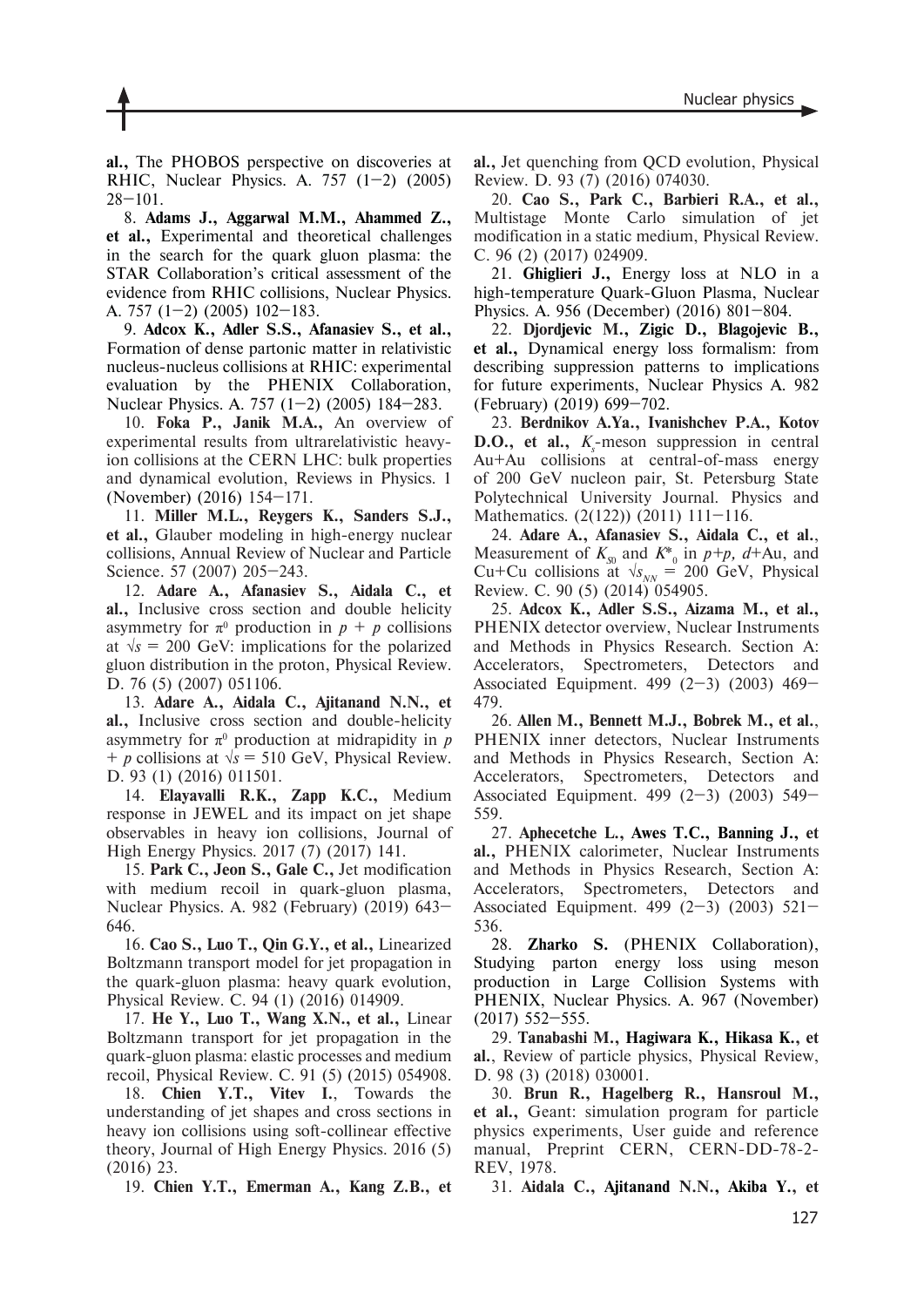**al.,** The PHOBOS perspective on discoveries at RHIC, Nuclear Physics. A.  $757$   $(1-2)$   $(2005)$  $28 - 101$ .

8. **Adams J., Aggarwal M.M., Ahammed Z., et al.,** Experimental and theoretical challenges in the search for the quark gluon plasma: the STAR Collaboration's critical assessment of the evidence from RHIC collisions, Nuclear Physics. A. 757  $(1-2)$   $(2005)$   $102-183$ .

9. **Adcox K., Adler S.S., Afanasiev S., et al.,**  Formation of dense partonic matter in relativistic nucleus-nucleus collisions at RHIC: experimental evaluation by the PHENIX Collaboration, Nuclear Physics. A. 757 (1–2) (2005) 184–283.

10. **Foka P., Janik M.A.,** An overview of experimental results from ultrarelativistic heavyion collisions at the CERN LHC: bulk properties and dynamical evolution, Reviews in Physics. 1 (November) (2016) 154–171.

11. **Miller M.L., Reygers K., Sanders S.J., et al.,** Glauber modeling in high-energy nuclear collisions, Annual Review of Nuclear and Particle Science. 57 (2007) 205–243.

12. **Adare A., Afanasiev S., Aidala C., et al.,** Inclusive cross section and double helicity asymmetry for  $\pi^0$  production in  $p + p$  collisions at  $\sqrt{s}$  = 200 GeV: implications for the polarized gluon distribution in the proton, Physical Review. D. 76 (5) (2007) 051106.

13. **Adare A., Aidala C., Ajitanand N.N., et al.,** Inclusive cross section and double-helicity asymmetry for  $\pi^0$  production at midrapidity in  $p$ + *p* collisions at √*s* = 510 GeV, Physical Review. D. 93 (1) (2016) 011501.

14. **Elayavalli R.K., Zapp K.C.,** Medium response in JEWEL and its impact on jet shape observables in heavy ion collisions, Journal of High Energy Physics. 2017 (7) (2017) 141.

15. **Park C., Jeon S., Gale C.,** Jet modification with medium recoil in quark-gluon plasma, Nuclear Physics. A. 982 (February) (2019) 643– 646.

16. **Cao S., Luo T., Qin G.Y., et al.,** Linearized Boltzmann transport model for jet propagation in the quark-gluon plasma: heavy quark evolution, Physical Review. C. 94 (1) (2016) 014909.

17. **He Y., Luo T., Wang X.N., et al.,** Linear Boltzmann transport for jet propagation in the quark-gluon plasma: elastic processes and medium recoil, Physical Review. C. 91 (5) (2015) 054908.

18. **Chien Y.T., Vitev I.**, Towards the understanding of jet shapes and cross sections in heavy ion collisions using soft-collinear effective theory, Journal of High Energy Physics. 2016 (5) (2016) 23.

19. **Chien Y.T., Emerman A., Kang Z.B., et** 

**al.,** Jet quenching from QCD evolution, Physical Review. D. 93 (7) (2016) 074030.

20. **Cao S., Park C., Barbieri R.A., et al.,** Multistage Monte Carlo simulation of jet modification in a static medium, Physical Review. C. 96 (2) (2017) 024909.

21. **Ghiglieri J.,** Energy loss at NLO in a high-temperature Quark-Gluon Plasma, Nuclear Physics. A. 956 (December) (2016) 801–804.

22. **Djordjevic M., Zigic D., Blagojevic B., et al.,** Dynamical energy loss formalism: from describing suppression patterns to implications for future experiments, Nuclear Physics A. 982 (February) (2019) 699–702.

23. **Berdnikov A.Ya., Ivanishchev P.A., Kotov D.O., et al.,**  $K_s$ -meson suppression in central Au+Au collisions at central-of-mass energy of 200 GeV nucleon pair, St. Petersburg State Polytechnical University Journal. Physics and Mathematics. (2(122)) (2011) 111-116.

24. **Adare A., Afanasiev S., Aidala C., et al.**, Measurement of  $K_{\text{S0}}$  and  $K^*_{\text{O}}$  in  $p+p$ ,  $d+Au$ , and Cu+Cu collisions at  $\sqrt{s_{NN}}$  = 200 GeV, Physical Review. C. 90 (5) (2014) 054905.

25. **Adcox K., Adler S.S., Aizama M., et al.,** PHENIX detector overview, Nuclear Instruments and Methods in Physics Research. Section A: Accelerators, Spectrometers, Detectors and Associated Equipment. 499 (2–3) (2003) 469– 479.

26. **Allen M., Bennett M.J., Bobrek M., et al.**, PHENIX inner detectors, Nuclear Instruments and Methods in Physics Research, Section A: Accelerators, Spectrometers, Detectors and Associated Equipment. 499 (2–3) (2003) 549– 559.

27. **Aphecetche L., Awes T.C., Banning J., et al.,** PHENIX calorimeter, Nuclear Instruments and Methods in Physics Research, Section A: Accelerators, Spectrometers, Detectors and Associated Equipment. 499  $(2-3)$   $(2003)$  521-536.

28. **Zharko S.** (PHENIX Collaboration), Studying parton energy loss using meson production in Large Collision Systems with PHENIX, Nuclear Physics. A. 967 (November) (2017) 552–555.

29. **Tanabashi M., Hagiwara K., Hikasa K., et al.**, Review of particle physics, Physical Review, D. 98 (3) (2018) 030001.

30. **Brun R., Hagelberg R., Hansroul M., et al.,** Geant: simulation program for particle physics experiments, User guide and reference manual, Preprint CERN, CERN-DD-78-2- REV, 1978.

31. **Aidala C., Ajitanand N.N., Akiba Y., et**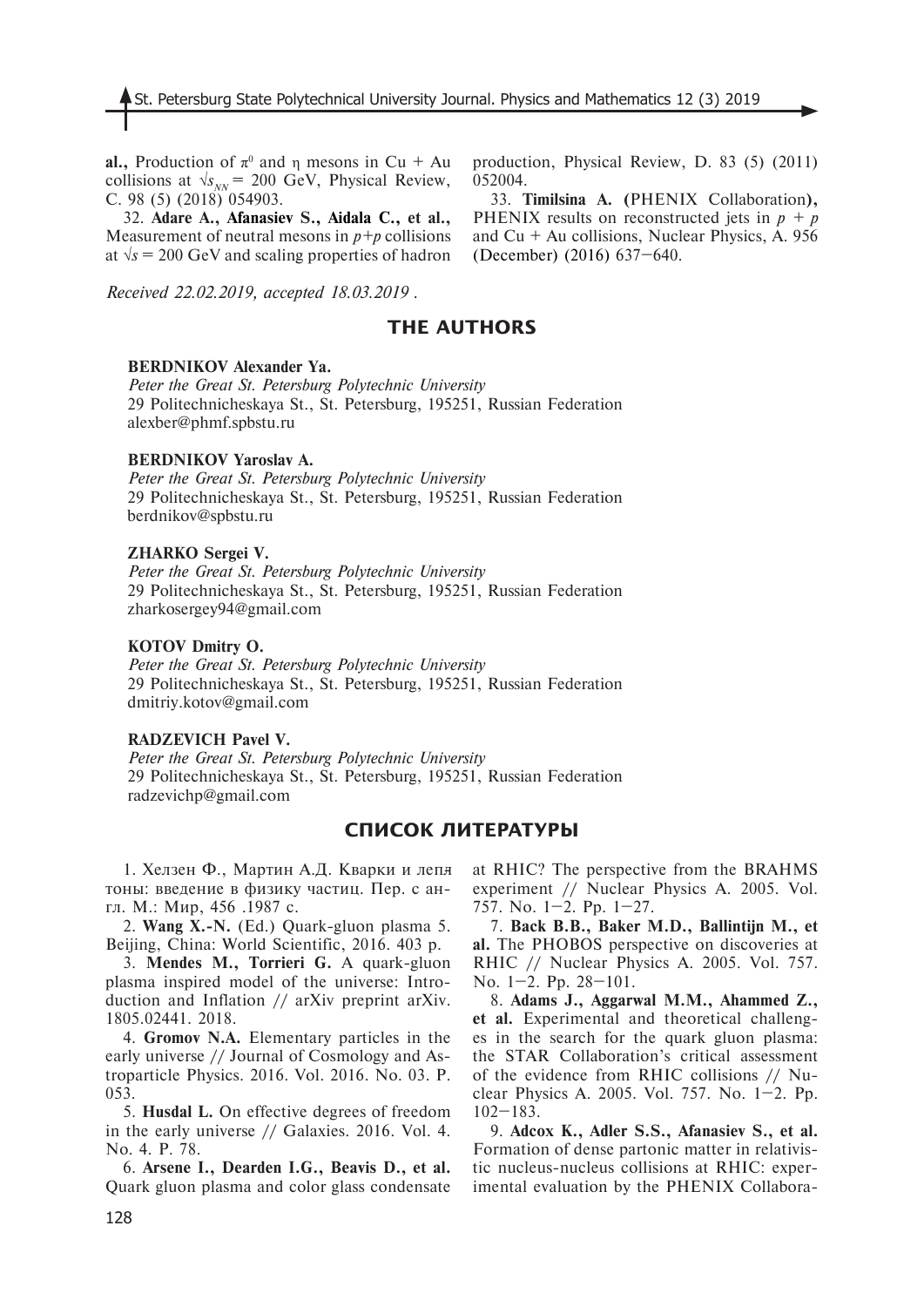**al.,** Production of  $\pi^0$  and  $\eta$  mesons in Cu + Au collisions at  $\sqrt{s_{NN}}$  = 200 GeV, Physical Review, C. 98 (5) (2018) 054903.

32. **Adare A., Afanasiev S., Aidala C., et al.,** Measurement of neutral mesons in  $p+p$  collisions at  $\sqrt{s}$  = 200 GeV and scaling properties of hadron

*Received 22.02.2019, accepted 18.03.2019 .*

production, Physical Review, D. 83 (5) (2011) 052004.

33. **Timilsina A. (**PHENIX Collaboration**),**  PHENIX results on reconstructed jets in *p + p* and  $Cu + Au$  collisions, Nuclear Physics, A. 956 (December) (2016) 637–640.

## **THE AUTHORS**

### **BERDNIKOV Alexander Ya.**

*Peter the Great St. Petersburg Polytechnic University* 29 Politechnicheskaya St., St. Petersburg, 195251, Russian Federation alexber@phmf.spbstu.ru

### **BERDNIKOV Yaroslav A.**

*Peter the Great St. Petersburg Polytechnic University* 29 Politechnicheskaya St., St. Petersburg, 195251, Russian Federation berdnikov@spbstu.ru

### **ZHARKO Sergei V.**

*Peter the Great St. Petersburg Polytechnic University* 29 Politechnicheskaya St., St. Petersburg, 195251, Russian Federation zharkosergey94@gmail.com

### **KOTOV Dmitry O.**

*Peter the Great St. Petersburg Polytechnic University* 29 Politechnicheskaya St., St. Petersburg, 195251, Russian Federation dmitriy.kotov@gmail.com

### **RADZEVICH Pavel V.**

*Peter the Great St. Petersburg Polytechnic University* 29 Politechnicheskaya St., St. Petersburg, 195251, Russian Federation radzevichp@gmail.com

## **СПИСОК ЛИТЕРАТУРЫ**

1. Хелзен Ф., Мартин А.Д. Кварки и лепя тоны: введение в физику частиц. Пер. с англ. М.: Мир, 456 .1987 с.

2. **Wang X.-N.** (Ed.) Quark-gluon plasma 5. Beijing, China: World Scientific, 2016. 403 p.

3. **Mendes M., Torrieri G.** A quark-gluon plasma inspired model of the universe: Introduction and Inflation // arXiv preprint arXiv. 1805.02441. 2018.

4. **Gromov N.A.** Elementary particles in the early universe // Journal of Cosmology and Astroparticle Physics. 2016. Vol. 2016. No. 03. P. 053.

5. **Husdal L.** On effective degrees of freedom in the early universe // Galaxies. 2016. Vol. 4. No. 4. P. 78.

6. **Arsene I., Dearden I.G., Beavis D., et al.** Quark gluon plasma and color glass condensate at RHIC? The perspective from the BRAHMS experiment // Nuclear Physics A. 2005. Vol. 757. No. 1–2. Pp. 1–27.

7. **Back B.B., Baker M.D., Ballintijn M., et al.** The PHOBOS perspective on discoveries at RHIC // Nuclear Physics A. 2005. Vol. 757. No. 1–2. Pp. 28–101.

8. **Adams J., Aggarwal M.M., Ahammed Z., et al.** Experimental and theoretical challenges in the search for the quark gluon plasma: the STAR Collaboration's critical assessment of the evidence from RHIC collisions // Nuclear Physics A. 2005. Vol. 757. No. 1–2. Pp.  $102 - 183$ .

9. **Adcox K., Adler S.S., Afanasiev S., et al.**  Formation of dense partonic matter in relativistic nucleus-nucleus collisions at RHIC: experimental evaluation by the PHENIX Collabora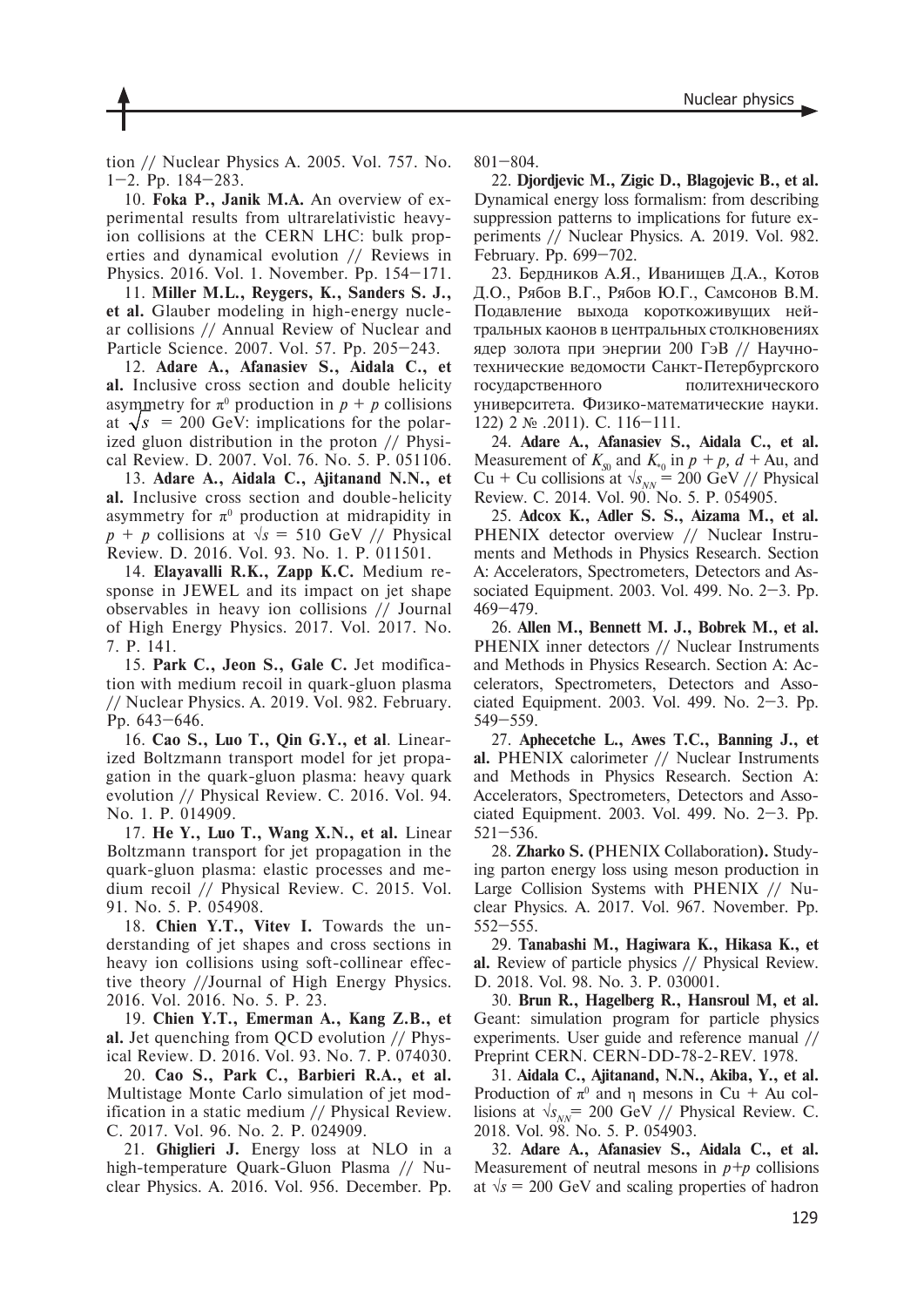tion // Nuclear Physics A. 2005. Vol. 757. No. 1–2. Pp. 184–283.

10. **Foka P., Janik M.A.** An overview of experimental results from ultrarelativistic heavyion collisions at the CERN LHC: bulk properties and dynamical evolution // Reviews in Physics. 2016. Vol. 1. November. Pp. 154–171.

11. **Miller M.L., Reygers, K., Sanders S. J., et al.** Glauber modeling in high-energy nuclear collisions // Annual Review of Nuclear and Particle Science. 2007. Vol. 57. Pp. 205–243.

12. **Adare A., Afanasiev S., Aidala C., et al.** Inclusive cross section and double helicity asymmetry for  $\pi^0$  production in  $p + p$  collisions at  $\sqrt{s}$  = 200 GeV: implications for the polarized gluon distribution in the proton // Physical Review. D. 2007. Vol. 76. No. 5. P. 051106.

13. **Adare A., Aidala C., Ajitanand N.N., et al.** Inclusive cross section and double-helicity asymmetry for  $\pi^0$  production at midrapidity in  $p + p$  collisions at  $\sqrt{s} = 510$  GeV // Physical Review. D. 2016. Vol. 93. No. 1. P. 011501.

14. **Elayavalli R.K., Zapp K.C.** Medium response in JEWEL and its impact on jet shape observables in heavy ion collisions // Journal of High Energy Physics. 2017. Vol. 2017. No. 7. P. 141.

15. **Park C., Jeon S., Gale C.** Jet modification with medium recoil in quark-gluon plasma // Nuclear Physics. A. 2019. Vol. 982. February. Pp. 643–646.

16. **Cao S., Luo T., Qin G.Y., et al**. Linearized Boltzmann transport model for jet propagation in the quark-gluon plasma: heavy quark evolution // Physical Review. C. 2016. Vol. 94. No. 1. P. 014909.

17. **He Y., Luo T., Wang X.N., et al.** Linear Boltzmann transport for jet propagation in the quark-gluon plasma: elastic processes and medium recoil // Physical Review. C. 2015. Vol. 91. No. 5. P. 054908.

18. **Chien Y.T., Vitev I.** Towards the understanding of jet shapes and cross sections in heavy ion collisions using soft-collinear effective theory //Journal of High Energy Physics. 2016. Vol. 2016. No. 5. P. 23.

19. **Chien Y.T., Emerman A., Kang Z.B., et al.** Jet quenching from QCD evolution // Physical Review. D. 2016. Vol. 93. No. 7. P. 074030.

20. **Cao S., Park C., Barbieri R.A., et al.** Multistage Monte Carlo simulation of jet modification in a static medium // Physical Review. C. 2017. Vol. 96. No. 2. P. 024909.

21. **Ghiglieri J.** Energy loss at NLO in a high-temperature Quark-Gluon Plasma // Nuclear Physics. A. 2016. Vol. 956. December. Pp. 801–804.

22. **Djordjevic M., Zigic D., Blagojevic B., et al.** Dynamical energy loss formalism: from describing suppression patterns to implications for future experiments // Nuclear Physics. A. 2019. Vol. 982. February. Pp. 699–702.

23. Бердников А.Я., Иванищев Д.А., Котов Д.О., Рябов В.Г., Рябов Ю.Г., Самсонов В.М. Подавление выхода короткоживущих нейтральных каонов в центральных столкновениях ядер золота при энергии 200 ГэВ // Научнотехнические ведомости Санкт-Петербургского государственного политехнического университета. Физико-математические науки. 122( 2 № .2011). С. 116–111.

24. **Adare A., Afanasiev S., Aidala C., et al.** Measurement of  $K_{\text{so}}$  and  $K_{\text{so}}$  in  $p + p$ ,  $d + \text{Au}$ , and Cu + Cu collisions at  $\sqrt{s_{NN}}$  = 200 GeV // Physical Review. C. 2014. Vol. 90. No. 5. P. 054905.

25. **Adcox K., Adler S. S., Aizama M., et al.** PHENIX detector overview // Nuclear Instruments and Methods in Physics Research. Section A: Accelerators, Spectrometers, Detectors and Associated Equipment. 2003. Vol. 499. No. 2–3. Pp. 469–479.

26. **Allen M., Bennett M. J., Bobrek M., et al.** PHENIX inner detectors // Nuclear Instruments and Methods in Physics Research. Section A: Accelerators, Spectrometers, Detectors and Associated Equipment. 2003. Vol. 499. No. 2–3. Pp. 549–559.

27. **Aphecetche L., Awes T.C., Banning J., et al.** PHENIX calorimeter // Nuclear Instruments and Methods in Physics Research. Section A: Accelerators, Spectrometers, Detectors and Associated Equipment. 2003. Vol. 499. No. 2–3. Pp. 521–536.

28. **Zharko S. (**PHENIX Collaboration**).** Studying parton energy loss using meson production in Large Collision Systems with PHENIX // Nuclear Physics. A. 2017. Vol. 967. November. Pp. 552–555.

29. **Tanabashi M., Hagiwara K., Hikasa K., et al.** Review of particle physics // Physical Review. D. 2018. Vol. 98. No. 3. P. 030001.

30. **Brun R., Hagelberg R., Hansroul M, et al.** Geant: simulation program for particle physics experiments. User guide and reference manual // Preprint CERN. CERN-DD-78-2-REV. 1978.

31. **Aidala C., Ajitanand, N.N., Akiba, Y., et al.** Production of  $\pi^0$  and  $\eta$  mesons in Cu + Au collisions at  $\sqrt{s_{NN}}$  200 GeV // Physical Review. C. 2018. Vol. 98. No. 5. P. 054903.

32. **Adare A., Afanasiev S., Aidala C., et al.** Measurement of neutral mesons in *p+p* collisions at  $\sqrt{s}$  = 200 GeV and scaling properties of hadron